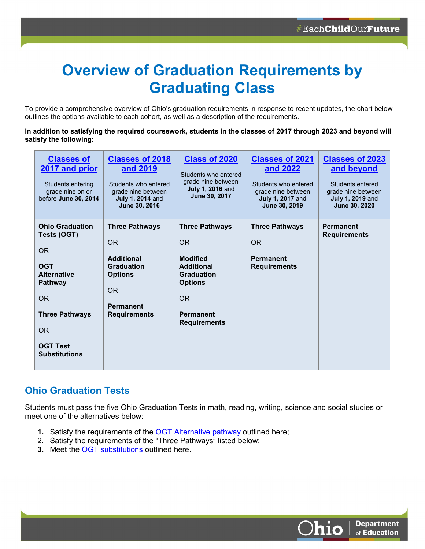# **Overview of Graduation Requirements by Graduating Class**

To provide a comprehensive overview of Ohio's graduation requirements in response to recent updates, the chart below outlines the options available to each cohort, as well as a description of the requirements.

**In addition to satisfying the required coursework, students in the classes of 2017 through 2023 and beyond will satisfy the following:** 

| <b>Classes of</b><br>2017 and prior<br>Students entering<br>grade nine on or<br>before June 30, 2014                                                                                | <b>Classes of 2018</b><br>and 2019<br>Students who entered<br>grade nine between<br><b>July 1, 2014 and</b><br>June 30, 2016                           | <b>Class of 2020</b><br>Students who entered<br>grade nine between<br><b>July 1, 2016 and</b><br>June 30, 2017                                                      | <b>Classes of 2021</b><br>and 2022<br>Students who entered<br>grade nine between<br><b>July 1, 2017 and</b><br>June 30, 2019 | <b>Classes of 2023</b><br>and beyond<br>Students entered<br>grade nine between<br><b>July 1, 2019 and</b><br>June 30, 2020 |
|-------------------------------------------------------------------------------------------------------------------------------------------------------------------------------------|--------------------------------------------------------------------------------------------------------------------------------------------------------|---------------------------------------------------------------------------------------------------------------------------------------------------------------------|------------------------------------------------------------------------------------------------------------------------------|----------------------------------------------------------------------------------------------------------------------------|
| <b>Ohio Graduation</b><br>Tests (OGT)<br>OR.<br><b>OGT</b><br><b>Alternative</b><br><b>Pathway</b><br>OR<br><b>Three Pathways</b><br>OR.<br><b>OGT Test</b><br><b>Substitutions</b> | <b>Three Pathways</b><br><b>OR</b><br><b>Additional</b><br><b>Graduation</b><br><b>Options</b><br><b>OR</b><br><b>Permanent</b><br><b>Requirements</b> | <b>Three Pathways</b><br><b>OR</b><br><b>Modified</b><br><b>Additional</b><br><b>Graduation</b><br><b>Options</b><br>OR.<br><b>Permanent</b><br><b>Requirements</b> | <b>Three Pathways</b><br><b>OR</b><br><b>Permanent</b><br><b>Requirements</b>                                                | <b>Permanent</b><br><b>Requirements</b>                                                                                    |

#### **Ohio Graduation Tests**

Students must pass the five Ohio Graduation Tests in math, reading, writing, science and social studies or meet one of the alternatives below:

- **1.** Satisfy the requirements of the **OGT** Alternative pathway outlined here;
- 2. Satisfy the requirements of the "Three Pathways" listed below;
- **3.** Meet the **OGT** substitutions outlined here.

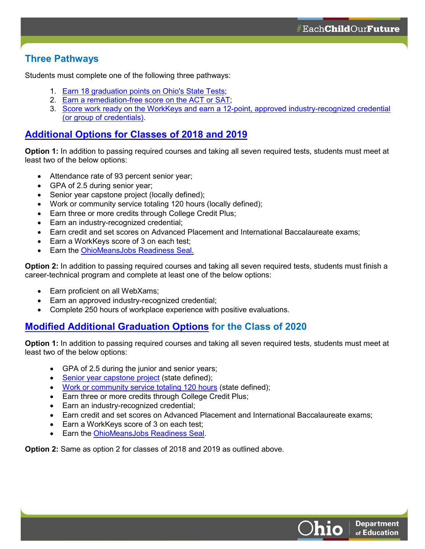### **Three Pathways**

Students must complete one of the following three pathways:

- 1. [Earn 18 graduation points on Ohio's State Tests;](http://education.ohio.gov/Topics/Ohio-s-Graduation-Requirements/18-Points-on-State-Tests)
- 2. [Earn a remediation-free score on the ACT or SAT;](http://education.ohio.gov/Topics/Ohio-s-Graduation-Requirements/College-and-Career-Readiness-Test)
- 3. [Score work ready on the WorkKeys and earn a 12-point, approved industry-recognized credential](http://education.ohio.gov/Topics/Ohio-s-Graduation-Requirements/Industry-Recognized-Credentials-and-WorkKeys)  [\(or group of credentials\).](http://education.ohio.gov/Topics/Ohio-s-Graduation-Requirements/Industry-Recognized-Credentials-and-WorkKeys)

#### **[Additional Options for Classes of 2018 and 2019](http://education.ohio.gov/getattachment/Topics/Ohio-s-Graduation-Requirements/2019_2020_GradRequirementsFAQs.pdf)**

**Option 1:** In addition to passing required courses and taking all seven required tests, students must meet at least two of the below options:

- Attendance rate of 93 percent senior year;
- GPA of 2.5 during senior year;
- Senior year capstone project (locally defined);
- Work or community service totaling 120 hours (locally defined);
- Earn three or more credits through College Credit Plus;
- Earn an industry-recognized credential;
- Earn credit and set scores on Advanced Placement and International Baccalaureate exams;
- Earn a WorkKeys score of 3 on each test;
- Earn the [OhioMeansJobs Readiness Seal.](http://education.ohio.gov/Topics/New-Skills-for-Youth/SuccessBound/OhioMeansJobs-Readiness-Seal)

**Option 2:** In addition to passing required courses and taking all seven required tests, students must finish a career-technical program and complete at least one of the below options:

- Earn proficient on all WebXams;
- Earn an approved industry-recognized credential;
- Complete 250 hours of workplace experience with positive evaluations.

## **[Modified Additional Graduation Options](http://education.ohio.gov/Topics/Ohio-s-Graduation-Requirements/News/Two-additional-graduation-options-available-fo-1) for the Class of 2020**

**Option 1:** In addition to passing required courses and taking all seven required tests, students must meet at least two of the below options:

- GPA of 2.5 during the junior and senior years;
- [Senior year capstone project](http://education.ohio.gov/Topics/Ohio-s-Graduation-Requirements/Earning-an-Ohio-High-School-Diploma-for-the-Cl-1/Work-and-Community-Service-Experience-and-Capstone) (state defined);
- [Work or community service totaling 120 hours](http://education.ohio.gov/Topics/Ohio-s-Graduation-Requirements/Earning-an-Ohio-High-School-Diploma-for-the-Cl-1/Work-and-Community-Service-Experience-and-Capstone) (state defined);
- Earn three or more credits through College Credit Plus;
- Earn an industry-recognized credential;
- Earn credit and set scores on Advanced Placement and International Baccalaureate exams;
- Earn a WorkKeys score of 3 on each test;
- Earn the [OhioMeansJobs Readiness Seal.](http://education.ohio.gov/Topics/New-Skills-for-Youth/SuccessBound/OhioMeansJobs-Readiness-Seal)

**Option 2:** Same as option 2 for classes of 2018 and 2019 as outlined above.



**Department** of Education